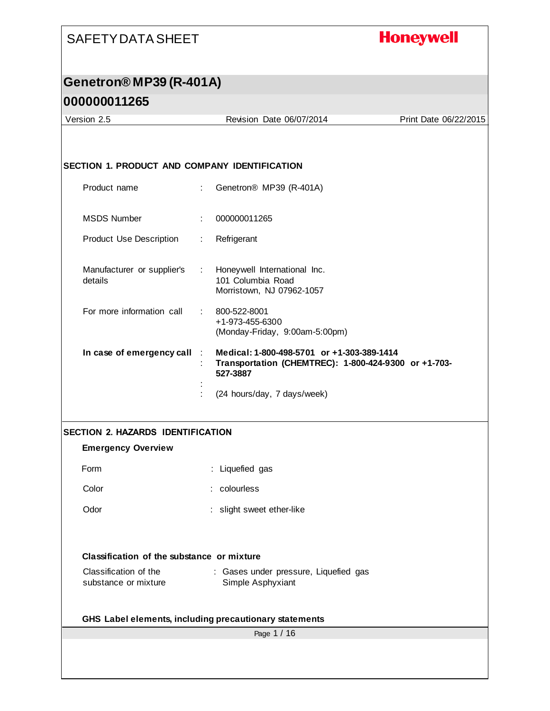#### **Honeywell**

# **Genetron® MP39 (R-401A)**

| 000000011265                                  |                            |                                                                  |                       |
|-----------------------------------------------|----------------------------|------------------------------------------------------------------|-----------------------|
| Version 2.5                                   |                            | Revision Date 06/07/2014                                         | Print Date 06/22/2015 |
|                                               |                            |                                                                  |                       |
| SECTION 1. PRODUCT AND COMPANY IDENTIFICATION |                            |                                                                  |                       |
|                                               |                            |                                                                  |                       |
| Product name                                  | $\mathbb{R}^{\mathbb{Z}}$  | Genetron <sup>®</sup> MP39 (R-401A)                              |                       |
| <b>MSDS Number</b>                            |                            | 000000011265                                                     |                       |
| <b>Product Use Description</b>                | ÷                          | Refrigerant                                                      |                       |
|                                               |                            |                                                                  |                       |
| Manufacturer or supplier's<br>details         | <b>The Co</b>              | Honeywell International Inc.<br>101 Columbia Road                |                       |
|                                               |                            | Morristown, NJ 07962-1057                                        |                       |
| For more information call                     | $\mathcal{L}^{\text{max}}$ | 800-522-8001                                                     |                       |
|                                               |                            | +1-973-455-6300<br>(Monday-Friday, 9:00am-5:00pm)                |                       |
| In case of emergency call                     |                            | Medical: 1-800-498-5701 or +1-303-389-1414                       |                       |
|                                               |                            | Transportation (CHEMTREC): 1-800-424-9300 or +1-703-<br>527-3887 |                       |
|                                               |                            | (24 hours/day, 7 days/week)                                      |                       |
|                                               |                            |                                                                  |                       |
|                                               |                            |                                                                  |                       |

#### **SECTION 2. HAZARDS IDENTIFICATION**

#### **Emergency Overview**

| Form | : Liquefied gas |  |
|------|-----------------|--|
|      |                 |  |

Color : colourless

Odor : slight sweet ether-like

#### **Classification of the substance or mixture**

| Classification of the | : Gases under pressure, Liquefied gas |  |
|-----------------------|---------------------------------------|--|
| substance or mixture  | Simple Asphyxiant                     |  |

#### **GHS Label elements, including precautionary statements**

Page 1 / 16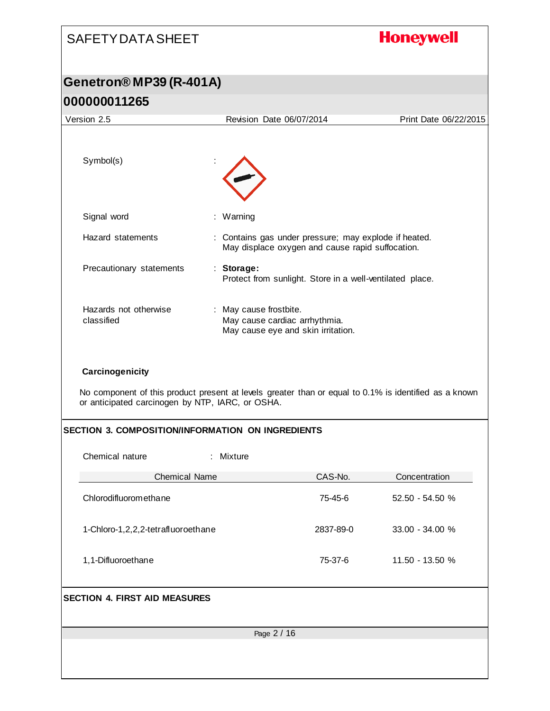| <b>SAFETY DATA SHEET</b>                                                                                                                                                     |                                                                                                           |           | <b>Honeywell</b>      |  |
|------------------------------------------------------------------------------------------------------------------------------------------------------------------------------|-----------------------------------------------------------------------------------------------------------|-----------|-----------------------|--|
| Genetron® MP39 (R-401A)                                                                                                                                                      |                                                                                                           |           |                       |  |
| 000000011265                                                                                                                                                                 |                                                                                                           |           |                       |  |
| Version 2.5                                                                                                                                                                  | Revision Date 06/07/2014                                                                                  |           | Print Date 06/22/2015 |  |
|                                                                                                                                                                              |                                                                                                           |           |                       |  |
| Symbol(s)                                                                                                                                                                    |                                                                                                           |           |                       |  |
| Signal word                                                                                                                                                                  | : Warning                                                                                                 |           |                       |  |
| Hazard statements                                                                                                                                                            | : Contains gas under pressure; may explode if heated.<br>May displace oxygen and cause rapid suffocation. |           |                       |  |
| Precautionary statements                                                                                                                                                     | : Storage:<br>Protect from sunlight. Store in a well-ventilated place.                                    |           |                       |  |
| Hazards not otherwise<br>classified                                                                                                                                          | : May cause frostbite.<br>May cause cardiac arrhythmia.<br>May cause eye and skin irritation.             |           |                       |  |
| Carcinogenicity<br>No component of this product present at levels greater than or equal to 0.1% is identified as a known<br>or anticipated carcinogen by NTP, IARC, or OSHA. |                                                                                                           |           |                       |  |
| <b>SECTION 3. COMPOSITION/INFORMATION ON INGREDIENTS</b>                                                                                                                     |                                                                                                           |           |                       |  |
| Chemical nature                                                                                                                                                              | : Mixture                                                                                                 |           |                       |  |
| <b>Chemical Name</b>                                                                                                                                                         |                                                                                                           | CAS-No.   | Concentration         |  |
| Chlorodifluoromethane                                                                                                                                                        |                                                                                                           | 75-45-6   | 52.50 - 54.50 %       |  |
| 1-Chloro-1,2,2,2-tetrafluoroethane                                                                                                                                           |                                                                                                           | 2837-89-0 | 33.00 - 34.00 %       |  |
| 1,1-Difluoroethane                                                                                                                                                           |                                                                                                           | 75-37-6   | 11.50 - 13.50 %       |  |
| <b>SECTION 4. FIRST AID MEASURES</b>                                                                                                                                         |                                                                                                           |           |                       |  |
|                                                                                                                                                                              | Page 2 / 16                                                                                               |           |                       |  |
|                                                                                                                                                                              |                                                                                                           |           |                       |  |
|                                                                                                                                                                              |                                                                                                           |           |                       |  |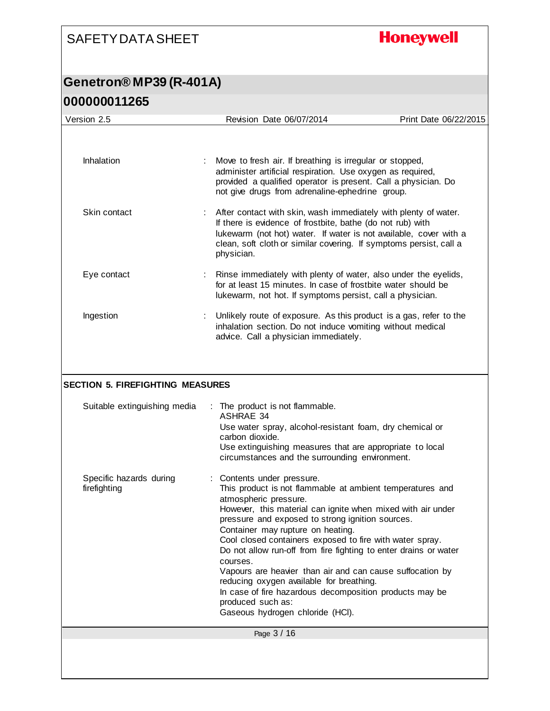**Honeywell** 

| Version 2.5                             | Revision Date 06/07/2014                                                                                                                                                                                                                                                                                                                                                                                                                                                                                                                                                                                                                          | Print Date 06/22/2015 |
|-----------------------------------------|---------------------------------------------------------------------------------------------------------------------------------------------------------------------------------------------------------------------------------------------------------------------------------------------------------------------------------------------------------------------------------------------------------------------------------------------------------------------------------------------------------------------------------------------------------------------------------------------------------------------------------------------------|-----------------------|
| Inhalation                              | Move to fresh air. If breathing is irregular or stopped,<br>administer artificial respiration. Use oxygen as required,                                                                                                                                                                                                                                                                                                                                                                                                                                                                                                                            |                       |
| Skin contact                            | provided a qualified operator is present. Call a physician. Do<br>not give drugs from adrenaline-ephedrine group.<br>After contact with skin, wash immediately with plenty of water.                                                                                                                                                                                                                                                                                                                                                                                                                                                              |                       |
|                                         | If there is evidence of frostbite, bathe (do not rub) with<br>lukewarm (not hot) water. If water is not available, cover with a<br>clean, soft cloth or similar covering. If symptoms persist, call a<br>physician.                                                                                                                                                                                                                                                                                                                                                                                                                               |                       |
| Eye contact                             | Rinse immediately with plenty of water, also under the eyelids,<br>for at least 15 minutes. In case of frostbite water should be<br>lukewarm, not hot. If symptoms persist, call a physician.                                                                                                                                                                                                                                                                                                                                                                                                                                                     |                       |
| Ingestion                               | Unlikely route of exposure. As this product is a gas, refer to the<br>inhalation section. Do not induce vomiting without medical<br>advice. Call a physician immediately.                                                                                                                                                                                                                                                                                                                                                                                                                                                                         |                       |
| <b>SECTION 5. FIREFIGHTING MEASURES</b> |                                                                                                                                                                                                                                                                                                                                                                                                                                                                                                                                                                                                                                                   |                       |
| Suitable extinguishing media            | : The product is not flammable.<br><b>ASHRAE 34</b><br>Use water spray, alcohol-resistant foam, dry chemical or<br>carbon dioxide.<br>Use extinguishing measures that are appropriate to local<br>circumstances and the surrounding environment.                                                                                                                                                                                                                                                                                                                                                                                                  |                       |
| Specific hazards during<br>firefighting | : Contents under pressure.<br>This product is not flammable at ambient temperatures and<br>atmospheric pressure.<br>However, this material can ignite when mixed with air under<br>pressure and exposed to strong ignition sources.<br>Container may rupture on heating.<br>Cool closed containers exposed to fire with water spray.<br>Do not allow run-off from fire fighting to enter drains or water<br>courses.<br>Vapours are heavier than air and can cause suffocation by<br>reducing oxygen available for breathing.<br>In case of fire hazardous decomposition products may be<br>produced such as:<br>Gaseous hydrogen chloride (HCI). |                       |
|                                         | Page 3 / 16                                                                                                                                                                                                                                                                                                                                                                                                                                                                                                                                                                                                                                       |                       |
|                                         |                                                                                                                                                                                                                                                                                                                                                                                                                                                                                                                                                                                                                                                   |                       |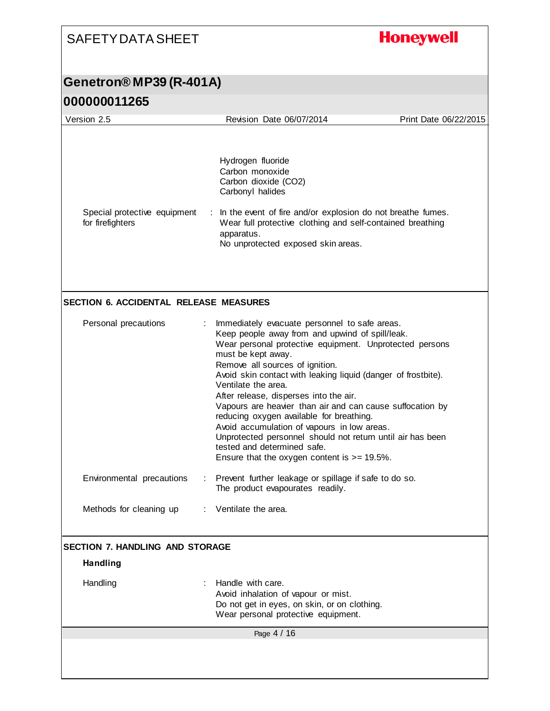# **Honeywell**

### **Genetron® MP39 (R-401A)**

| Hydrogen fluoride<br>Carbon monoxide<br>Carbon dioxide (CO2)<br>Carbonyl halides<br>In the event of fire and/or explosion do not breathe fumes.<br>Wear full protective clothing and self-contained breathing<br>apparatus.<br>No unprotected exposed skin areas.<br><b>SECTION 6. ACCIDENTAL RELEASE MEASURES</b><br>Immediately evacuate personnel to safe areas.<br>Keep people away from and upwind of spill/leak.<br>Wear personal protective equipment. Unprotected persons<br>must be kept away.<br>Remove all sources of ignition.<br>Avoid skin contact with leaking liquid (danger of frostbite).<br>Ventilate the area. |
|------------------------------------------------------------------------------------------------------------------------------------------------------------------------------------------------------------------------------------------------------------------------------------------------------------------------------------------------------------------------------------------------------------------------------------------------------------------------------------------------------------------------------------------------------------------------------------------------------------------------------------|
|                                                                                                                                                                                                                                                                                                                                                                                                                                                                                                                                                                                                                                    |
|                                                                                                                                                                                                                                                                                                                                                                                                                                                                                                                                                                                                                                    |
| After release, disperses into the air.<br>Vapours are heavier than air and can cause suffocation by<br>reducing oxygen available for breathing.<br>Avoid accumulation of vapours in low areas.<br>Unprotected personnel should not return until air has been<br>tested and determined safe.<br>Ensure that the oxygen content is $>= 19.5\%$ .                                                                                                                                                                                                                                                                                     |
| Prevent further leakage or spillage if safe to do so.<br>The product evapourates readily.                                                                                                                                                                                                                                                                                                                                                                                                                                                                                                                                          |
| Ventilate the area                                                                                                                                                                                                                                                                                                                                                                                                                                                                                                                                                                                                                 |
| <b>SECTION 7. HANDLING AND STORAGE</b>                                                                                                                                                                                                                                                                                                                                                                                                                                                                                                                                                                                             |
|                                                                                                                                                                                                                                                                                                                                                                                                                                                                                                                                                                                                                                    |
| Handle with care.<br>Avoid inhalation of vapour or mist.<br>Do not get in eyes, on skin, or on clothing.<br>Wear personal protective equipment.                                                                                                                                                                                                                                                                                                                                                                                                                                                                                    |
| Page 4 / 16                                                                                                                                                                                                                                                                                                                                                                                                                                                                                                                                                                                                                        |
|                                                                                                                                                                                                                                                                                                                                                                                                                                                                                                                                                                                                                                    |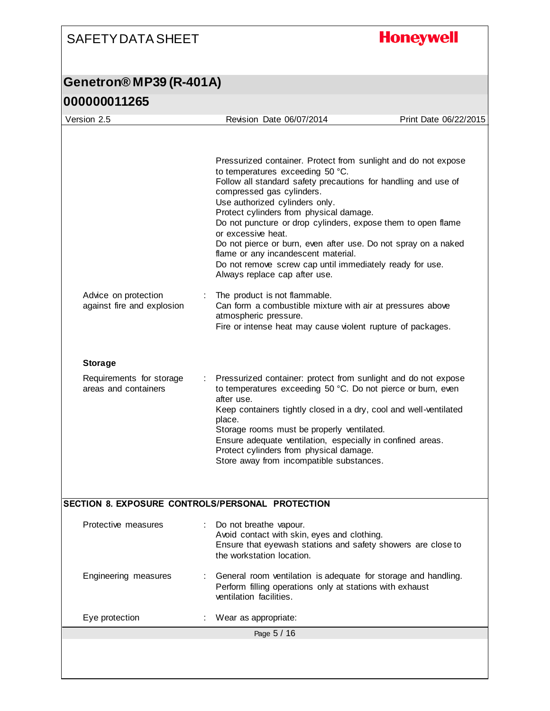## **Honeywell**

#### **Genetron® MP39 (R-401A) 000000011265**

| UUUUUUU LIZOJ                                      |                                                                                                                                                                                                                                                                                                                                                                                                                                                                                                                                           |                       |
|----------------------------------------------------|-------------------------------------------------------------------------------------------------------------------------------------------------------------------------------------------------------------------------------------------------------------------------------------------------------------------------------------------------------------------------------------------------------------------------------------------------------------------------------------------------------------------------------------------|-----------------------|
| Version 2.5                                        | Revision Date 06/07/2014                                                                                                                                                                                                                                                                                                                                                                                                                                                                                                                  | Print Date 06/22/2015 |
|                                                    | Pressurized container. Protect from sunlight and do not expose<br>to temperatures exceeding 50 °C.<br>Follow all standard safety precautions for handling and use of<br>compressed gas cylinders.<br>Use authorized cylinders only.<br>Protect cylinders from physical damage.<br>Do not puncture or drop cylinders, expose them to open flame<br>or excessive heat.<br>Do not pierce or burn, even after use. Do not spray on a naked<br>flame or any incandescent material.<br>Do not remove screw cap until immediately ready for use. |                       |
|                                                    | Always replace cap after use.                                                                                                                                                                                                                                                                                                                                                                                                                                                                                                             |                       |
| Advice on protection<br>against fire and explosion | The product is not flammable.<br>Can form a combustible mixture with air at pressures above<br>atmospheric pressure.<br>Fire or intense heat may cause violent rupture of packages.                                                                                                                                                                                                                                                                                                                                                       |                       |
| <b>Storage</b>                                     |                                                                                                                                                                                                                                                                                                                                                                                                                                                                                                                                           |                       |
| Requirements for storage<br>areas and containers   | Pressurized container: protect from sunlight and do not expose<br>to temperatures exceeding 50 °C. Do not pierce or burn, even<br>after use.<br>Keep containers tightly closed in a dry, cool and well-ventilated<br>place.<br>Storage rooms must be properly ventilated.<br>Ensure adequate ventilation, especially in confined areas.<br>Protect cylinders from physical damage.<br>Store away from incompatible substances.                                                                                                            |                       |
| SECTION 8. EXPOSURE CONTROLS/PERSONAL PROTECTION   |                                                                                                                                                                                                                                                                                                                                                                                                                                                                                                                                           |                       |
| Protective measures                                | Do not breathe vapour.<br>Avoid contact with skin, eyes and clothing.<br>Ensure that eyewash stations and safety showers are close to<br>the workstation location.                                                                                                                                                                                                                                                                                                                                                                        |                       |
| Engineering measures                               | General room ventilation is adequate for storage and handling.<br>Perform filling operations only at stations with exhaust                                                                                                                                                                                                                                                                                                                                                                                                                |                       |

Page 5 / 16 ventilation facilities. Eye protection : Wear as appropriate: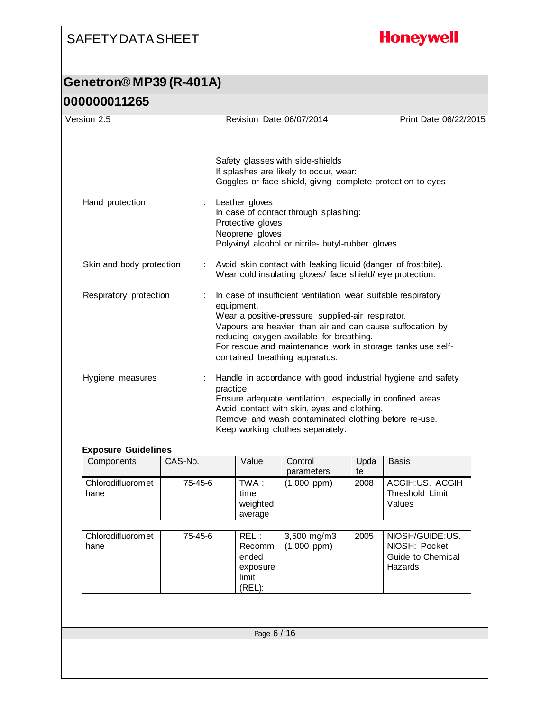## **Honeywell**

### **Genetron® MP39 (R-401A) 000000011265**

| Version 2.5              | Revision Date 06/07/2014                                                                                                                               | Print Date 06/22/2015                                                                                                                                                                    |
|--------------------------|--------------------------------------------------------------------------------------------------------------------------------------------------------|------------------------------------------------------------------------------------------------------------------------------------------------------------------------------------------|
|                          | Safety glasses with side-shields<br>If splashes are likely to occur, wear:                                                                             | Goggles or face shield, giving complete protection to eyes                                                                                                                               |
| Hand protection          | : Leather gloves<br>In case of contact through splashing:<br>Protective gloves<br>Neoprene gloves<br>Polyvinyl alcohol or nitrile- butyl-rubber gloves |                                                                                                                                                                                          |
| Skin and body protection | Wear cold insulating gloves/ face shield/eye protection.                                                                                               | Avoid skin contact with leaking liquid (danger of frostbite).                                                                                                                            |
| Respiratory protection   | equipment.<br>Wear a positive-pressure supplied-air respirator.<br>reducing oxygen available for breathing.<br>contained breathing apparatus.          | In case of insufficient ventilation wear suitable respiratory<br>Vapours are heavier than air and can cause suffocation by<br>For rescue and maintenance work in storage tanks use self- |
| Hygiene measures         | practice.<br>Avoid contact with skin, eyes and clothing.<br>Keep working clothes separately.                                                           | Handle in accordance with good industrial hygiene and safety<br>Ensure adequate ventilation, especially in confined areas.<br>Remove and wash contaminated clothing before re-use.       |

#### **Exposure Guidelines**

| Components                 | CAS-No. | Value                                                          | Control<br>parameters        | Upda<br>te | <b>Basis</b>                                                     |
|----------------------------|---------|----------------------------------------------------------------|------------------------------|------------|------------------------------------------------------------------|
| Chlorodifluorom et<br>hane | 75-45-6 | TWA :<br>time<br>weighted<br>average                           | $(1,000$ ppm $)$             | 2008       | ACGIH:US. ACGIH<br>Threshold Limit<br>Values                     |
| Chlorodifluorom et<br>hane | 75-45-6 | REL :<br><b>Recomm</b><br>ended<br>exposure<br>limit<br>(REL): | 3,500 mg/m3<br>$(1,000$ ppm) | 2005       | NIOSH/GUIDE:US.<br>NIOSH: Pocket<br>Guide to Chemical<br>Hazards |
|                            |         |                                                                |                              |            |                                                                  |
|                            |         | Page 6 / 16                                                    |                              |            |                                                                  |
|                            |         |                                                                |                              |            |                                                                  |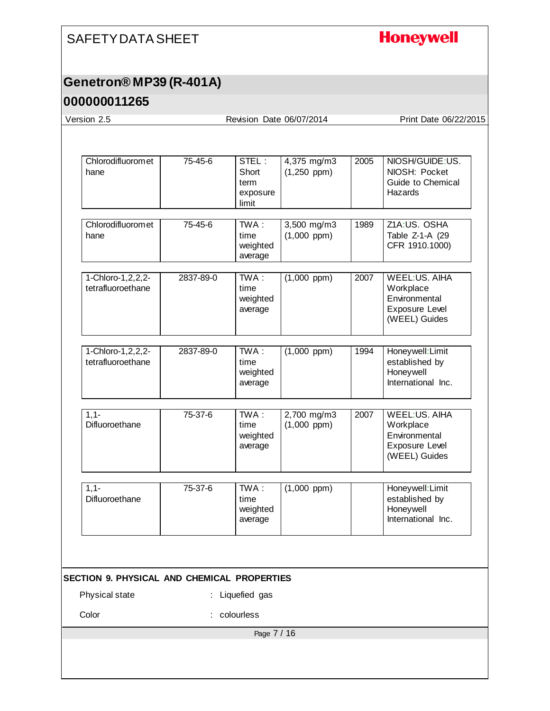# **Honeywell**

#### **Genetron® MP39 (R-401A)**

| Version 2.5                                                          |           | Revision Date 06/07/2014                    |                                 |      | Print Date 06/22/2015                                                                        |
|----------------------------------------------------------------------|-----------|---------------------------------------------|---------------------------------|------|----------------------------------------------------------------------------------------------|
|                                                                      |           |                                             |                                 |      |                                                                                              |
| Chlorodifluoromet<br>hane                                            | 75-45-6   | STEL:<br>Short<br>term<br>exposure<br>limit | 4,375 mg/m3<br>$(1,250$ ppm)    | 2005 | NIOSH/GUIDE:US.<br>NIOSH: Pocket<br>Guide to Chemical<br>Hazards                             |
| Chlorodifluoromet<br>hane                                            | 75-45-6   | TWA:<br>time<br>weighted<br>average         | 3,500 mg/m3<br>$(1,000$ ppm $)$ | 1989 | Z1A:US. OSHA<br>Table Z-1-A (29<br>CFR 1910.1000)                                            |
| 1-Chloro-1,2,2,2-<br>tetrafluoroethane                               | 2837-89-0 | TWA:<br>time<br>weighted<br>average         | $(1,000$ ppm $)$                | 2007 | WEEL:US. AIHA<br>Workplace<br>Environmental<br>Exposure Level<br>(WEEL) Guides               |
| 1-Chloro-1, 2, 2, 2-<br>tetrafluoroethane                            | 2837-89-0 | TWA:<br>time<br>weighted<br>average         | $(1,000$ ppm)                   | 1994 | Honeywell: Limit<br>established by<br>Honeywell<br>International Inc.                        |
| $1,1-$<br>Difluoroethane                                             | 75-37-6   | TWA:<br>time<br>weighted<br>average         | 2,700 mg/m3<br>$(1,000$ ppm)    | 2007 | <b>WEEL:US. AIHA</b><br>Workplace<br>Environmental<br><b>Exposure Level</b><br>(WEEL) Guides |
| $1,1-$<br>Difluoroethane                                             | 75-37-6   | $TWA$ :<br>time<br>weighted<br>average      | $(1,000$ ppm $)$                |      | Honeywell: Limit<br>established by<br>Honeywell<br>International Inc.                        |
|                                                                      |           |                                             |                                 |      |                                                                                              |
| <b>SECTION 9. PHYSICAL AND CHEMICAL PROPERTIES</b><br>Physical state |           | : Liquefied gas                             |                                 |      |                                                                                              |
| Color                                                                |           | colourless                                  |                                 |      |                                                                                              |
|                                                                      |           | Page 7 / 16                                 |                                 |      |                                                                                              |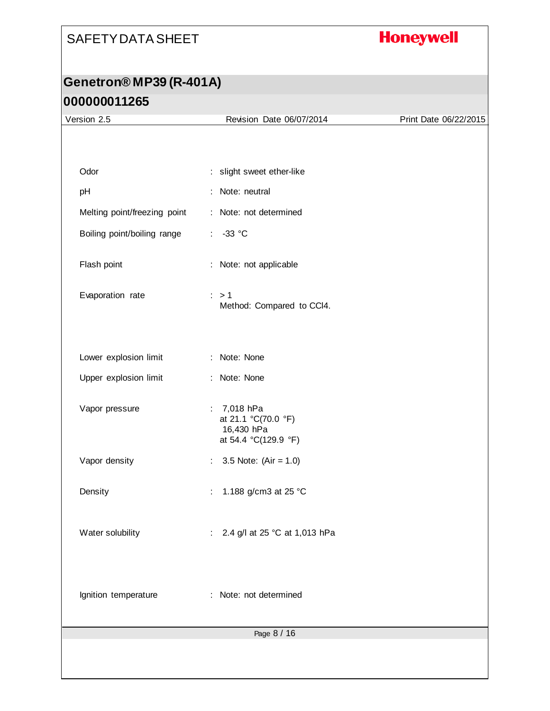# **Honeywell**

| Version 2.5                  | Revision Date 06/07/2014                                                                               | Print Date 06/22/2015 |
|------------------------------|--------------------------------------------------------------------------------------------------------|-----------------------|
|                              |                                                                                                        |                       |
|                              |                                                                                                        |                       |
| Odor                         | : slight sweet ether-like                                                                              |                       |
| pH                           | Note: neutral                                                                                          |                       |
| Melting point/freezing point | : Note: not determined                                                                                 |                       |
| Boiling point/boiling range  | $-33$ °C<br>$\mathcal{L}_{\mathcal{A}}$                                                                |                       |
| Flash point                  | Note: not applicable<br>÷                                                                              |                       |
| Evaporation rate             | $\therefore$ > 1<br>Method: Compared to CCI4.                                                          |                       |
| Lower explosion limit        | : Note: None                                                                                           |                       |
| Upper explosion limit        | : Note: None                                                                                           |                       |
| Vapor pressure               | 7,018 hPa<br>$\mathcal{L}_{\mathrm{max}}$<br>at 21.1 °C(70.0 °F)<br>16,430 hPa<br>at 54.4 °C(129.9 °F) |                       |
| Vapor density                | 3.5 Note: $(Air = 1.0)$<br>÷.                                                                          |                       |
| Density                      | 1.188 g/cm3 at 25 °C                                                                                   |                       |
| Water solubility             | 2.4 g/l at 25 °C at 1,013 hPa<br>÷                                                                     |                       |
| Ignition temperature         | Note: not determined                                                                                   |                       |
|                              | Page 8 / 16                                                                                            |                       |
|                              |                                                                                                        |                       |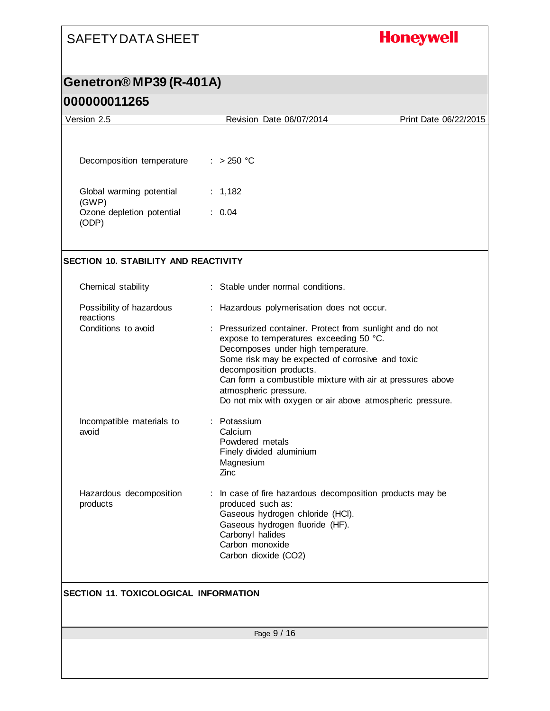# **Honeywell**

#### **Genetron® MP39 (R-401A)**

| Version 2.5                                  | Revision Date 06/07/2014                                                                                                                                                                                                                                                                                                                                                      | Print Date 06/22/2015 |
|----------------------------------------------|-------------------------------------------------------------------------------------------------------------------------------------------------------------------------------------------------------------------------------------------------------------------------------------------------------------------------------------------------------------------------------|-----------------------|
|                                              |                                                                                                                                                                                                                                                                                                                                                                               |                       |
| Decomposition temperature                    | $: >250$ °C                                                                                                                                                                                                                                                                                                                                                                   |                       |
| Global warming potential<br>(GWP)            | : $1,182$                                                                                                                                                                                                                                                                                                                                                                     |                       |
| Ozone depletion potential<br>(ODP)           | : 0.04                                                                                                                                                                                                                                                                                                                                                                        |                       |
| <b>SECTION 10. STABILITY AND REACTIVITY</b>  |                                                                                                                                                                                                                                                                                                                                                                               |                       |
| Chemical stability                           | : Stable under normal conditions.                                                                                                                                                                                                                                                                                                                                             |                       |
| Possibility of hazardous<br>reactions        | : Hazardous polymerisation does not occur.                                                                                                                                                                                                                                                                                                                                    |                       |
| Conditions to avoid                          | : Pressurized container. Protect from sunlight and do not<br>expose to temperatures exceeding 50 °C.<br>Decomposes under high temperature.<br>Some risk may be expected of corrosive and toxic<br>decomposition products.<br>Can form a combustible mixture with air at pressures above<br>atmospheric pressure.<br>Do not mix with oxygen or air above atmospheric pressure. |                       |
| Incompatible materials to<br>avoid           | : Potassium<br>Calcium<br>Powdered metals<br>Finely divided aluminium<br>Magnesium<br>Zinc                                                                                                                                                                                                                                                                                    |                       |
| Hazardous decomposition<br>products          | : In case of fire hazardous decomposition products may be<br>produced such as:<br>Gaseous hydrogen chloride (HCl).<br>Gaseous hydrogen fluoride (HF).<br>Carbonyl halides<br>Carbon monoxide<br>Carbon dioxide (CO2)                                                                                                                                                          |                       |
| <b>SECTION 11. TOXICOLOGICAL INFORMATION</b> |                                                                                                                                                                                                                                                                                                                                                                               |                       |
|                                              | Page 9 / 16                                                                                                                                                                                                                                                                                                                                                                   |                       |
|                                              |                                                                                                                                                                                                                                                                                                                                                                               |                       |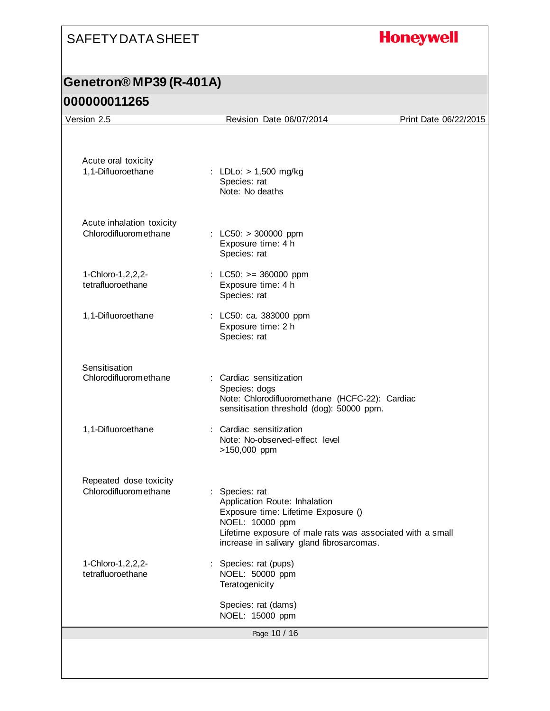# **Honeywell**

### **Genetron® MP39 (R-401A)**

| Version 2.5                                        | Revision Date 06/07/2014                                                                                                                                                                                             | Print Date 06/22/2015 |
|----------------------------------------------------|----------------------------------------------------------------------------------------------------------------------------------------------------------------------------------------------------------------------|-----------------------|
| Acute oral toxicity<br>1,1-Difluoroethane          | : LDLo: > 1,500 mg/kg<br>Species: rat<br>Note: No deaths                                                                                                                                                             |                       |
| Acute inhalation toxicity<br>Chlorodifluoromethane | : LC50: $> 300000$ ppm<br>Exposure time: 4 h<br>Species: rat                                                                                                                                                         |                       |
| 1-Chloro-1, 2, 2, 2-<br>tetrafluoroethane          | : LC50: $>= 360000$ ppm<br>Exposure time: 4 h<br>Species: rat                                                                                                                                                        |                       |
| 1,1-Difluoroethane                                 | : LC50: ca. 383000 ppm<br>Exposure time: 2 h<br>Species: rat                                                                                                                                                         |                       |
| Sensitisation<br>Chlorodifluoromethane             | : Cardiac sensitization<br>Species: dogs<br>Note: Chlorodifluoromethane (HCFC-22): Cardiac<br>sensitisation threshold (dog): 50000 ppm.                                                                              |                       |
| 1,1-Difluoroethane                                 | : Cardiac sensitization<br>Note: No-observed-effect level<br>>150,000 ppm                                                                                                                                            |                       |
| Repeated dose toxicity<br>Chlorodifluoromethane    | : Species: rat<br>Application Route: Inhalation<br>Exposure time: Lifetime Exposure ()<br>NOEL: 10000 ppm<br>Lifetime exposure of male rats was associated with a small<br>increase in salivary gland fibrosarcomas. |                       |
| 1-Chloro-1, 2, 2, 2-<br>tetrafluoroethane          | Species: rat (pups)<br>NOEL: 50000 ppm<br>Teratogenicity                                                                                                                                                             |                       |
|                                                    | Species: rat (dams)<br>NOEL: 15000 ppm                                                                                                                                                                               |                       |
|                                                    | Page 10 / 16                                                                                                                                                                                                         |                       |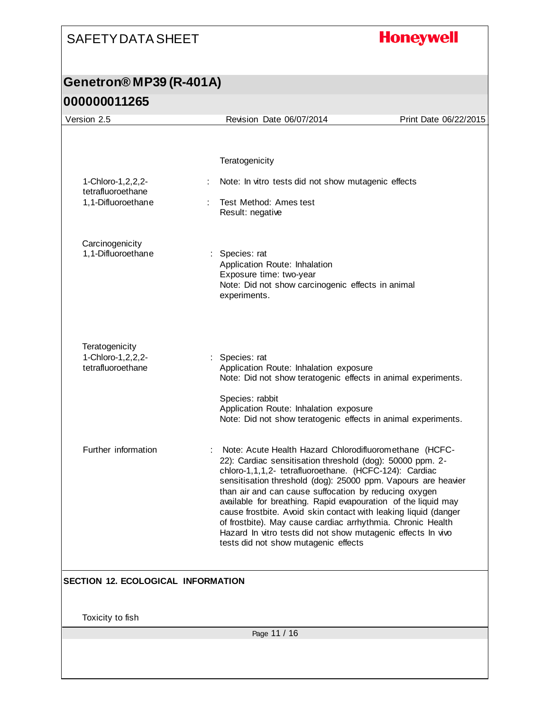# **Honeywell**

| Version 2.5                               | Revision Date 06/07/2014                                                                                                         | Print Date 06/22/2015 |
|-------------------------------------------|----------------------------------------------------------------------------------------------------------------------------------|-----------------------|
|                                           |                                                                                                                                  |                       |
|                                           |                                                                                                                                  |                       |
|                                           | Teratogenicity                                                                                                                   |                       |
| 1-Chloro-1, 2, 2, 2-                      | Note: In vitro tests did not show mutagenic effects                                                                              |                       |
| tetrafluoroethane<br>1,1-Difluoroethane   | Test Method: Ames test                                                                                                           |                       |
|                                           | Result: negative                                                                                                                 |                       |
| Carcinogenicity                           |                                                                                                                                  |                       |
| 1,1-Difluoroethane                        | Species: rat<br>Application Route: Inhalation                                                                                    |                       |
|                                           | Exposure time: two-year<br>Note: Did not show carcinogenic effects in animal                                                     |                       |
|                                           | experiments.                                                                                                                     |                       |
|                                           |                                                                                                                                  |                       |
|                                           |                                                                                                                                  |                       |
| Teratogenicity<br>1-Chloro-1, 2, 2, 2-    | : Species: rat                                                                                                                   |                       |
| tetrafluoroethane                         | Application Route: Inhalation exposure<br>Note: Did not show teratogenic effects in animal experiments.                          |                       |
|                                           | Species: rabbit                                                                                                                  |                       |
|                                           | Application Route: Inhalation exposure<br>Note: Did not show teratogenic effects in animal experiments.                          |                       |
|                                           |                                                                                                                                  |                       |
| Further information                       | Note: Acute Health Hazard Chlorodifluoromethane (HCFC-<br>22): Cardiac sensitisation threshold (dog): 50000 ppm. 2-              |                       |
|                                           | chloro-1,1,1,2- tetrafluoroethane. (HCFC-124): Cardiac<br>sensitisation threshold (dog): 25000 ppm. Vapours are heavier          |                       |
|                                           | than air and can cause suffocation by reducing oxygen                                                                            |                       |
|                                           | available for breathing. Rapid evapouration of the liquid may<br>cause frostbite. Avoid skin contact with leaking liquid (danger |                       |
|                                           | of frostbite). May cause cardiac arrhythmia. Chronic Health<br>Hazard In vitro tests did not show mutagenic effects In vivo      |                       |
|                                           | tests did not show mutagenic effects                                                                                             |                       |
|                                           |                                                                                                                                  |                       |
| <b>SECTION 12. ECOLOGICAL INFORMATION</b> |                                                                                                                                  |                       |
|                                           |                                                                                                                                  |                       |
| Toxicity to fish                          |                                                                                                                                  |                       |
|                                           | Page 11 / 16                                                                                                                     |                       |
|                                           |                                                                                                                                  |                       |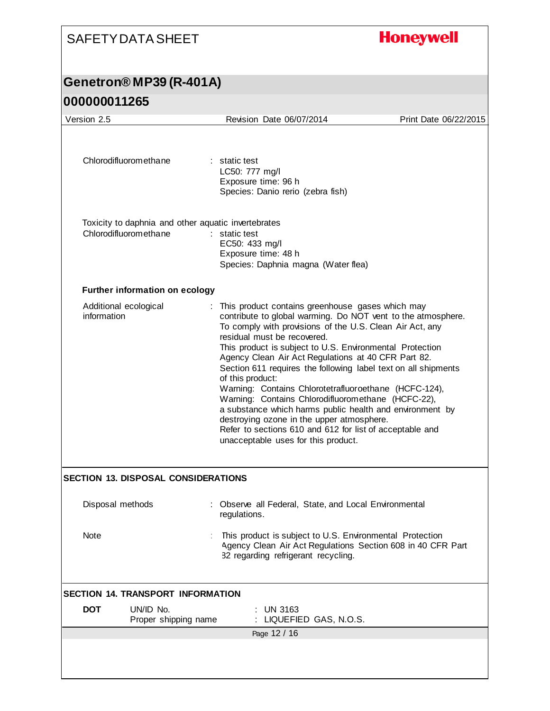# **Honeywell**

| 000000011265 |  |
|--------------|--|
|--------------|--|

| Version 2.5                                                                  | Revision Date 06/07/2014                                                                                                                                                                                                                                                                                                                                                                                                                                                                                                                                                                                                                                                                                                                          | Print Date 06/22/2015 |
|------------------------------------------------------------------------------|---------------------------------------------------------------------------------------------------------------------------------------------------------------------------------------------------------------------------------------------------------------------------------------------------------------------------------------------------------------------------------------------------------------------------------------------------------------------------------------------------------------------------------------------------------------------------------------------------------------------------------------------------------------------------------------------------------------------------------------------------|-----------------------|
| Chlorodifluoromethane                                                        | : static test<br>LC50: 777 mg/l<br>Exposure time: 96 h<br>Species: Danio rerio (zebra fish)                                                                                                                                                                                                                                                                                                                                                                                                                                                                                                                                                                                                                                                       |                       |
| Toxicity to daphnia and other aquatic invertebrates<br>Chlorodifluoromethane | : static test<br>EC50: 433 mg/l<br>Exposure time: 48 h<br>Species: Daphnia magna (Water flea)                                                                                                                                                                                                                                                                                                                                                                                                                                                                                                                                                                                                                                                     |                       |
| Further information on ecology                                               |                                                                                                                                                                                                                                                                                                                                                                                                                                                                                                                                                                                                                                                                                                                                                   |                       |
| Additional ecological<br>information                                         | : This product contains greenhouse gases which may<br>contribute to global warming. Do NOT vent to the atmosphere.<br>To comply with provisions of the U.S. Clean Air Act, any<br>residual must be recovered.<br>This product is subject to U.S. Environmental Protection<br>Agency Clean Air Act Regulations at 40 CFR Part 82.<br>Section 611 requires the following label text on all shipments<br>of this product:<br>Warning: Contains Chlorotetrafluoroethane (HCFC-124),<br>Warning: Contains Chlorodifluoromethane (HCFC-22),<br>a substance which harms public health and environment by<br>destroying ozone in the upper atmosphere.<br>Refer to sections 610 and 612 for list of acceptable and<br>unacceptable uses for this product. |                       |
| <b>SECTION 13. DISPOSAL CONSIDERATIONS</b>                                   |                                                                                                                                                                                                                                                                                                                                                                                                                                                                                                                                                                                                                                                                                                                                                   |                       |
| Disposal methods                                                             | Observe all Federal, State, and Local Environmental<br>regulations.                                                                                                                                                                                                                                                                                                                                                                                                                                                                                                                                                                                                                                                                               |                       |
| Note                                                                         | This product is subject to U.S. Environmental Protection<br>Agency Clean Air Act Regulations Section 608 in 40 CFR Part<br>82 regarding refrigerant recycling.                                                                                                                                                                                                                                                                                                                                                                                                                                                                                                                                                                                    |                       |
| <b>SECTION 14. TRANSPORT INFORMATION</b>                                     |                                                                                                                                                                                                                                                                                                                                                                                                                                                                                                                                                                                                                                                                                                                                                   |                       |
| <b>DOT</b><br>UN/ID No.<br>Proper shipping name                              | <b>UN 3163</b><br>LIQUEFIED GAS, N.O.S.                                                                                                                                                                                                                                                                                                                                                                                                                                                                                                                                                                                                                                                                                                           |                       |
|                                                                              | Page 12 / 16                                                                                                                                                                                                                                                                                                                                                                                                                                                                                                                                                                                                                                                                                                                                      |                       |
|                                                                              |                                                                                                                                                                                                                                                                                                                                                                                                                                                                                                                                                                                                                                                                                                                                                   |                       |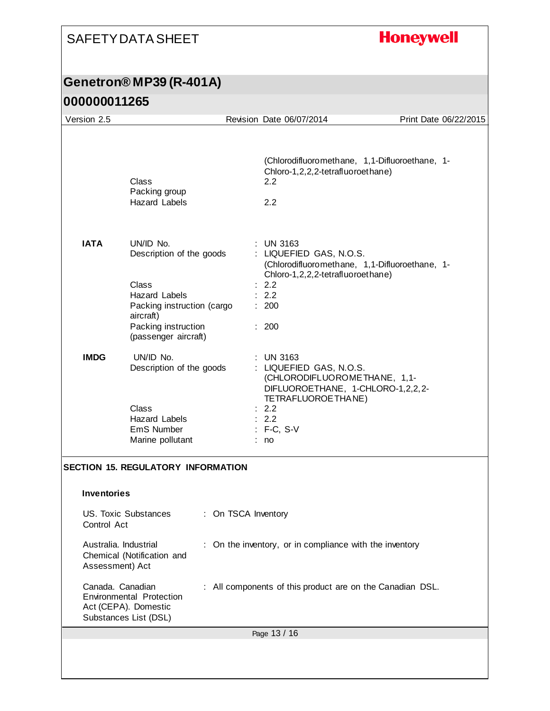# **Honeywell**

| Version 2.5                                                                                                                                                                                                                                                                                                                                                                                                                                    |                                                                                                                                                                  |  | Revision Date 06/07/2014                                                                                                                                                                  |  | Print Date 06/22/2015 |
|------------------------------------------------------------------------------------------------------------------------------------------------------------------------------------------------------------------------------------------------------------------------------------------------------------------------------------------------------------------------------------------------------------------------------------------------|------------------------------------------------------------------------------------------------------------------------------------------------------------------|--|-------------------------------------------------------------------------------------------------------------------------------------------------------------------------------------------|--|-----------------------|
|                                                                                                                                                                                                                                                                                                                                                                                                                                                | Class<br>Packing group<br><b>Hazard Labels</b>                                                                                                                   |  | (Chlorodifluoromethane, 1,1-Difluoroethane, 1-<br>Chloro-1,2,2,2-tetrafluoroethane)<br>2.2<br>2.2                                                                                         |  |                       |
| <b>IATA</b>                                                                                                                                                                                                                                                                                                                                                                                                                                    | UN/ID No.<br>Description of the goods<br>Class<br><b>Hazard Labels</b><br>Packing instruction (cargo<br>aircraft)<br>Packing instruction<br>(passenger aircraft) |  | <b>UN 3163</b><br>: LIQUEFIED GAS, N.O.S.<br>(Chlorodifluoromethane, 1,1-Difluoroethane, 1-<br>Chloro-1,2,2,2-tetrafluoroethane)<br>: 2.2<br>: 2.2<br>: 200<br>: 200                      |  |                       |
| <b>IMDG</b>                                                                                                                                                                                                                                                                                                                                                                                                                                    | UN/ID No.<br>Description of the goods<br>Class<br>Hazard Labels<br>EmS Number<br>Marine pollutant                                                                |  | <b>UN 3163</b><br>: LIQUEFIED GAS, N.O.S.<br>(CHLORODIFLUOROMETHANE, 1,1-<br>DIFLUOROETHANE, 1-CHLORO-1,2,2,2-<br>TETRAFLUOROETHANE)<br>: 2.2<br>$\therefore$ 2.2<br>$: F-C, S-V$<br>: no |  |                       |
| <b>SECTION 15. REGULATORY INFORMATION</b><br><b>Inventories</b><br><b>US. Toxic Substances</b><br>: On TSCA Inventory<br>Control Act<br>Australia. Industrial<br>: On the inventory, or in compliance with the inventory<br>Chemical (Notification and<br>Assessment) Act<br>Canada. Canadian<br>: All components of this product are on the Canadian DSL.<br><b>Environmental Protection</b><br>Act (CEPA). Domestic<br>Substances List (DSL) |                                                                                                                                                                  |  |                                                                                                                                                                                           |  |                       |
| Page 13 / 16                                                                                                                                                                                                                                                                                                                                                                                                                                   |                                                                                                                                                                  |  |                                                                                                                                                                                           |  |                       |
|                                                                                                                                                                                                                                                                                                                                                                                                                                                |                                                                                                                                                                  |  |                                                                                                                                                                                           |  |                       |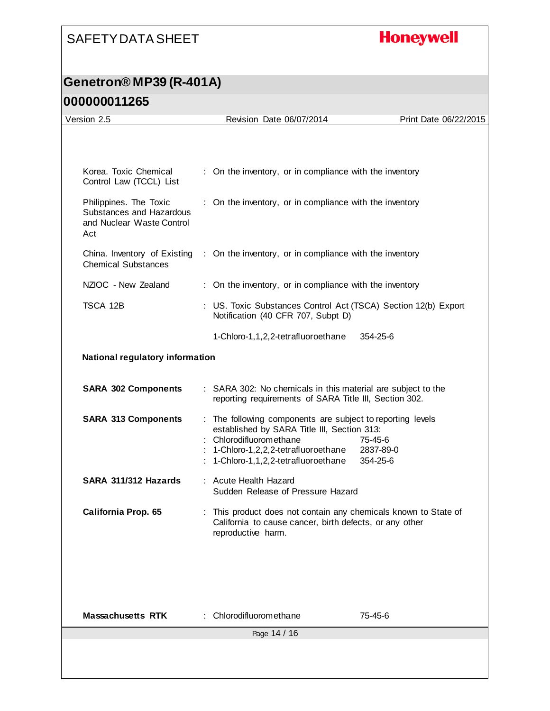# **Honeywell**

### **Genetron® MP39 (R-401A)**

| Version 2.5                                                                            | Revision Date 06/07/2014                                                                                                                                                                                       | Print Date 06/22/2015            |
|----------------------------------------------------------------------------------------|----------------------------------------------------------------------------------------------------------------------------------------------------------------------------------------------------------------|----------------------------------|
|                                                                                        |                                                                                                                                                                                                                |                                  |
| Korea, Toxic Chemical<br>Control Law (TCCL) List                                       | : On the inventory, or in compliance with the inventory                                                                                                                                                        |                                  |
| Philippines. The Toxic<br>Substances and Hazardous<br>and Nuclear Waste Control<br>Act | : On the inventory, or in compliance with the inventory                                                                                                                                                        |                                  |
| China. Inventory of Existing<br><b>Chemical Substances</b>                             | : On the inventory, or in compliance with the inventory                                                                                                                                                        |                                  |
| NZIOC - New Zealand                                                                    | : On the inventory, or in compliance with the inventory                                                                                                                                                        |                                  |
| TSCA 12B                                                                               | : US. Toxic Substances Control Act (TSCA) Section 12(b) Export<br>Notification (40 CFR 707, Subpt D)                                                                                                           |                                  |
|                                                                                        | 1-Chloro-1,1,2,2-tetrafluoroethane                                                                                                                                                                             | 354-25-6                         |
| National regulatory information                                                        |                                                                                                                                                                                                                |                                  |
| <b>SARA 302 Components</b>                                                             | : SARA 302: No chemicals in this material are subject to the<br>reporting requirements of SARA Title III, Section 302.                                                                                         |                                  |
| <b>SARA 313 Components</b>                                                             | : The following components are subject to reporting levels<br>established by SARA Title III, Section 313:<br>Chlorodifluoromethane<br>1-Chloro-1,2,2,2-tetrafluoroethane<br>1-Chloro-1,1,2,2-tetrafluoroethane | 75-45-6<br>2837-89-0<br>354-25-6 |
| SARA 311/312 Hazards                                                                   | : Acute Health Hazard<br>Sudden Release of Pressure Hazard                                                                                                                                                     |                                  |
| <b>California Prop. 65</b>                                                             | : This product does not contain any chemicals known to State of<br>California to cause cancer, birth defects, or any other<br>reproductive harm.                                                               |                                  |
|                                                                                        |                                                                                                                                                                                                                |                                  |
| <b>Massachusetts RTK</b>                                                               | : Chlorodifluoromethane                                                                                                                                                                                        | 75-45-6                          |
|                                                                                        | Page 14 / 16                                                                                                                                                                                                   |                                  |
|                                                                                        |                                                                                                                                                                                                                |                                  |
|                                                                                        |                                                                                                                                                                                                                |                                  |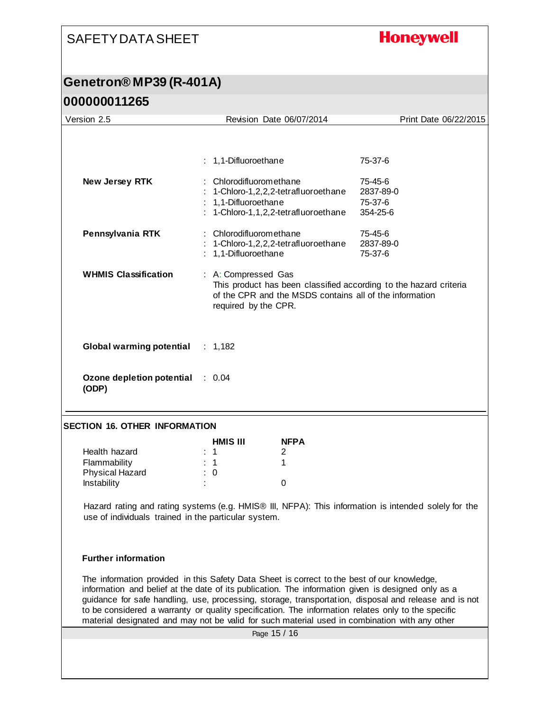#### **Honeywell**

#### **Genetron® MP39 (R-401A) 000000011265**

| Version 2.5                                      | Revision Date 06/07/2014                                                                                                                                                    | Print Date 06/22/2015                       |
|--------------------------------------------------|-----------------------------------------------------------------------------------------------------------------------------------------------------------------------------|---------------------------------------------|
|                                                  | : 1,1-Difluoroethane                                                                                                                                                        | 75-37-6                                     |
| New Jersey RTK                                   | : Chlorodifluoromethane<br>: 1-Chloro-1,2,2,2-tetrafluoroethane<br>: 1,1-Difluoroethane<br>: 1-Chloro-1,1,2,2-tetrafluoroethane                                             | 75-45-6<br>2837-89-0<br>75-37-6<br>354-25-6 |
| Pennsylvania RTK                                 | : Chlorodifluoromethane<br>: 1-Chloro-1,2,2,2-tetrafluoroethane<br>: 1,1-Difluoroethane                                                                                     | 75-45-6<br>2837-89-0<br>75-37-6             |
| <b>WHMIS Classification</b>                      | : A: Compressed Gas<br>This product has been classified according to the hazard criteria<br>of the CPR and the MSDS contains all of the information<br>required by the CPR. |                                             |
| Global warming potential : 1,182                 |                                                                                                                                                                             |                                             |
| <b>Ozone depletion potential : 0.04</b><br>(ODP) |                                                                                                                                                                             |                                             |

#### **SECTION 16. OTHER INFORMATION**

|                        | <b>HMIS III</b> | <b>NFPA</b>       |
|------------------------|-----------------|-------------------|
| Health hazard          | $\therefore$ 1  |                   |
| Flammability           | $\therefore$ 1  |                   |
| <b>Physical Hazard</b> | : 0             |                   |
| Instability            | ٠<br>٠          | $\mathbf{\Omega}$ |

Hazard rating and rating systems (e.g. HMIS® III, NFPA): This information is intended solely for the use of individuals trained in the particular system.

#### **Further information**

The information provided in this Safety Data Sheet is correct to the best of our knowledge, information and belief at the date of its publication. The information given is designed only as a guidance for safe handling, use, processing, storage, transportation, disposal and release and is not to be considered a warranty or quality specification. The information relates only to the specific material designated and may not be valid for such material used in combination with any other

Page 15 / 16